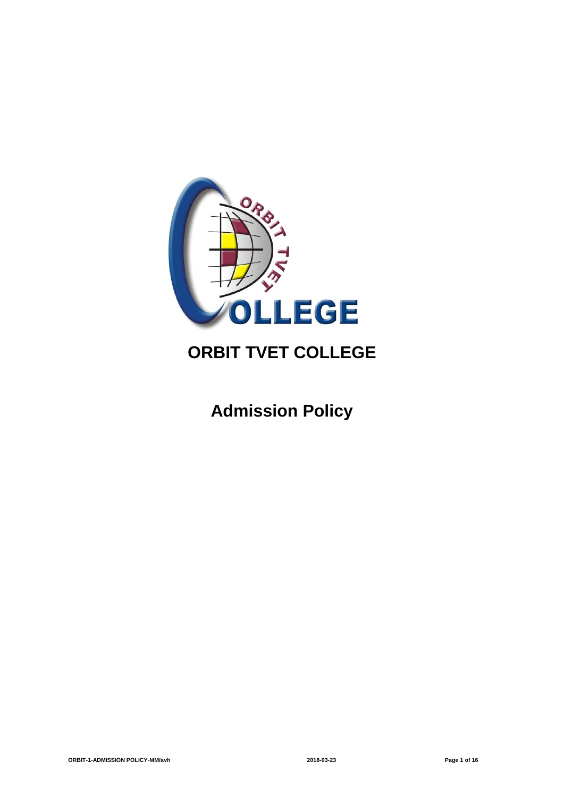

## **ORBIT TVET COLLEGE**

# **Admission Policy**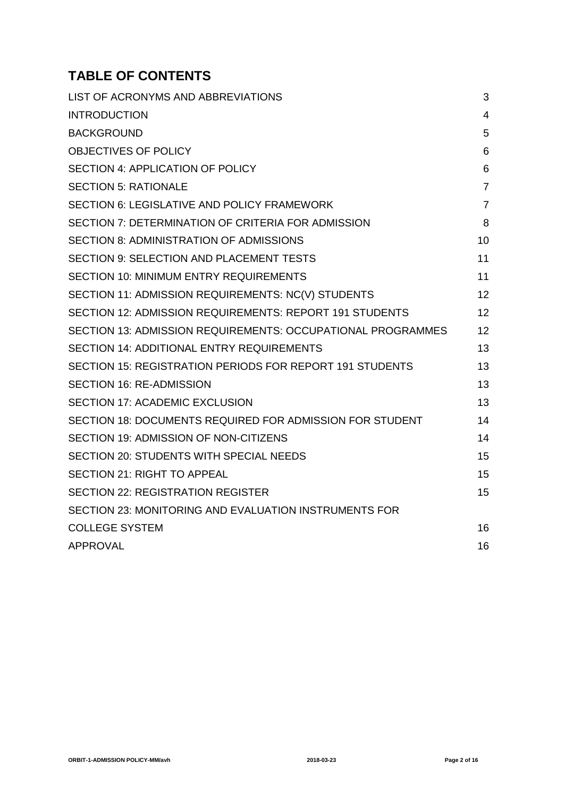## **TABLE OF CONTENTS**

| LIST OF ACRONYMS AND ABBREVIATIONS                          | 3              |
|-------------------------------------------------------------|----------------|
| <b>INTRODUCTION</b>                                         | $\overline{4}$ |
| <b>BACKGROUND</b>                                           | 5              |
| OBJECTIVES OF POLICY                                        | 6              |
| SECTION 4: APPLICATION OF POLICY                            | 6              |
| <b>SECTION 5: RATIONALE</b>                                 | $\overline{7}$ |
| <b>SECTION 6: LEGISLATIVE AND POLICY FRAMEWORK</b>          | $\overline{7}$ |
| SECTION 7: DETERMINATION OF CRITERIA FOR ADMISSION          | 8              |
| <b>SECTION 8: ADMINISTRATION OF ADMISSIONS</b>              | 10             |
| <b>SECTION 9: SELECTION AND PLACEMENT TESTS</b>             | 11             |
| <b>SECTION 10: MINIMUM ENTRY REQUIREMENTS</b>               | 11             |
| SECTION 11: ADMISSION REQUIREMENTS: NC(V) STUDENTS          | 12             |
| SECTION 12: ADMISSION REQUIREMENTS: REPORT 191 STUDENTS     | 12             |
| SECTION 13: ADMISSION REQUIREMENTS: OCCUPATIONAL PROGRAMMES | 12             |
| <b>SECTION 14: ADDITIONAL ENTRY REQUIREMENTS</b>            | 13             |
| SECTION 15: REGISTRATION PERIODS FOR REPORT 191 STUDENTS    | 13             |
| <b>SECTION 16: RE-ADMISSION</b>                             | 13             |
| <b>SECTION 17: ACADEMIC EXCLUSION</b>                       | 13             |
| SECTION 18: DOCUMENTS REQUIRED FOR ADMISSION FOR STUDENT    | 14             |
| SECTION 19: ADMISSION OF NON-CITIZENS                       | 14             |
| <b>SECTION 20: STUDENTS WITH SPECIAL NEEDS</b>              | 15             |
| <b>SECTION 21: RIGHT TO APPEAL</b>                          | 15             |
| <b>SECTION 22: REGISTRATION REGISTER</b>                    | 15             |
| SECTION 23: MONITORING AND EVALUATION INSTRUMENTS FOR       |                |
| <b>COLLEGE SYSTEM</b>                                       | 16             |
| <b>APPROVAL</b>                                             | 16             |
|                                                             |                |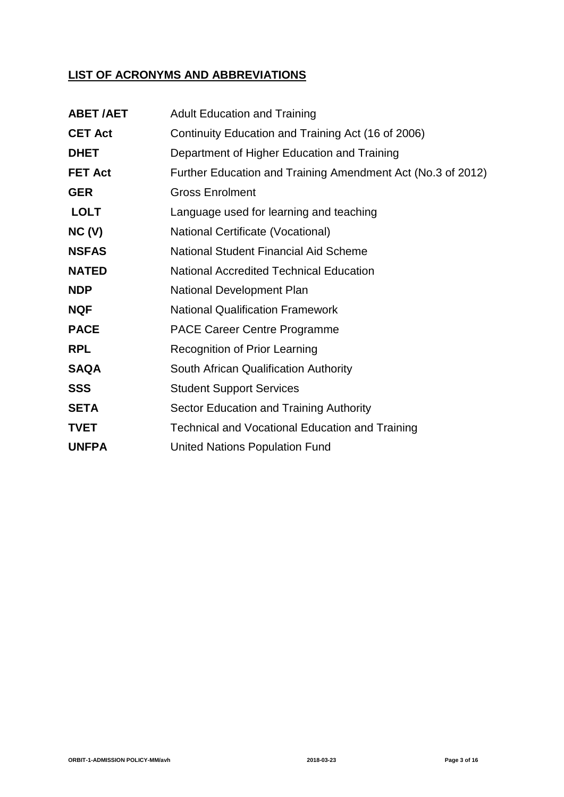### **LIST OF ACRONYMS AND ABBREVIATIONS**

| <b>ABET/AET</b> | <b>Adult Education and Training</b>                         |
|-----------------|-------------------------------------------------------------|
| <b>CET Act</b>  | Continuity Education and Training Act (16 of 2006)          |
| <b>DHET</b>     | Department of Higher Education and Training                 |
| <b>FET Act</b>  | Further Education and Training Amendment Act (No.3 of 2012) |
| <b>GER</b>      | <b>Gross Enrolment</b>                                      |
| <b>LOLT</b>     | Language used for learning and teaching                     |
| NC(V)           | National Certificate (Vocational)                           |
| <b>NSFAS</b>    | <b>National Student Financial Aid Scheme</b>                |
| <b>NATED</b>    | <b>National Accredited Technical Education</b>              |
| <b>NDP</b>      | <b>National Development Plan</b>                            |
| <b>NQF</b>      | <b>National Qualification Framework</b>                     |
| <b>PACE</b>     | <b>PACE Career Centre Programme</b>                         |
| <b>RPL</b>      | <b>Recognition of Prior Learning</b>                        |
| <b>SAQA</b>     | South African Qualification Authority                       |
| <b>SSS</b>      | <b>Student Support Services</b>                             |
| <b>SETA</b>     | Sector Education and Training Authority                     |
| <b>TVET</b>     | <b>Technical and Vocational Education and Training</b>      |
| <b>UNFPA</b>    | <b>United Nations Population Fund</b>                       |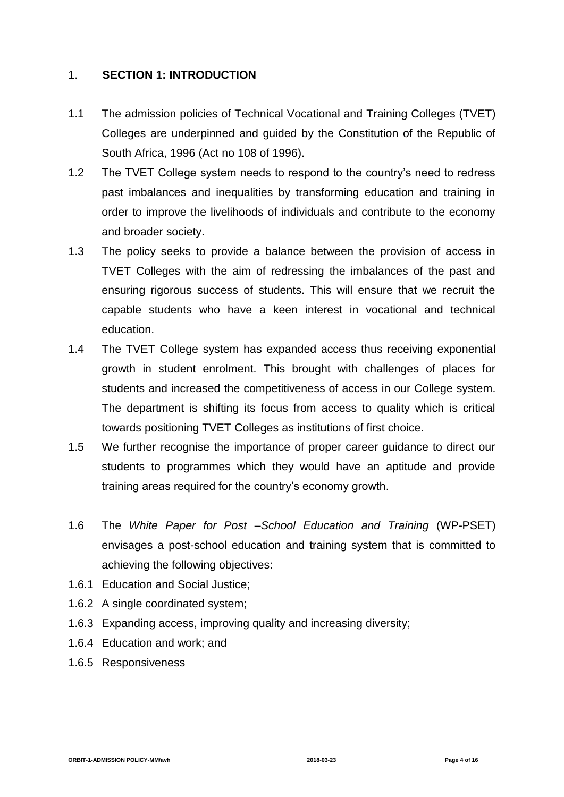### 1. **SECTION 1: INTRODUCTION**

- 1.1 The admission policies of Technical Vocational and Training Colleges (TVET) Colleges are underpinned and guided by the Constitution of the Republic of South Africa, 1996 (Act no 108 of 1996).
- 1.2 The TVET College system needs to respond to the country's need to redress past imbalances and inequalities by transforming education and training in order to improve the livelihoods of individuals and contribute to the economy and broader society.
- 1.3 The policy seeks to provide a balance between the provision of access in TVET Colleges with the aim of redressing the imbalances of the past and ensuring rigorous success of students. This will ensure that we recruit the capable students who have a keen interest in vocational and technical education.
- 1.4 The TVET College system has expanded access thus receiving exponential growth in student enrolment. This brought with challenges of places for students and increased the competitiveness of access in our College system. The department is shifting its focus from access to quality which is critical towards positioning TVET Colleges as institutions of first choice.
- 1.5 We further recognise the importance of proper career guidance to direct our students to programmes which they would have an aptitude and provide training areas required for the country's economy growth.
- 1.6 The *White Paper for Post –School Education and Training* (WP-PSET) envisages a post-school education and training system that is committed to achieving the following objectives:
- 1.6.1 Education and Social Justice;
- 1.6.2 A single coordinated system;
- 1.6.3 Expanding access, improving quality and increasing diversity;
- 1.6.4 Education and work; and
- 1.6.5 Responsiveness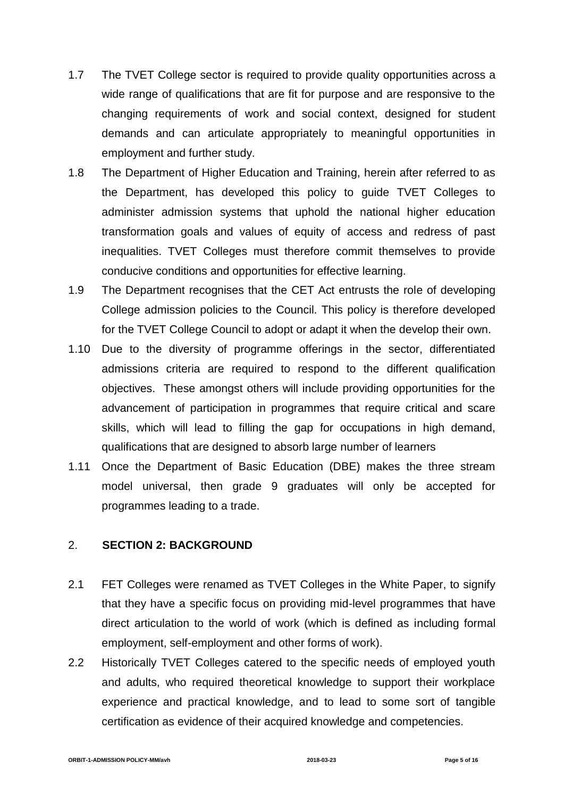- 1.7 The TVET College sector is required to provide quality opportunities across a wide range of qualifications that are fit for purpose and are responsive to the changing requirements of work and social context, designed for student demands and can articulate appropriately to meaningful opportunities in employment and further study.
- 1.8 The Department of Higher Education and Training, herein after referred to as the Department, has developed this policy to guide TVET Colleges to administer admission systems that uphold the national higher education transformation goals and values of equity of access and redress of past inequalities. TVET Colleges must therefore commit themselves to provide conducive conditions and opportunities for effective learning.
- 1.9 The Department recognises that the CET Act entrusts the role of developing College admission policies to the Council. This policy is therefore developed for the TVET College Council to adopt or adapt it when the develop their own.
- 1.10 Due to the diversity of programme offerings in the sector, differentiated admissions criteria are required to respond to the different qualification objectives. These amongst others will include providing opportunities for the advancement of participation in programmes that require critical and scare skills, which will lead to filling the gap for occupations in high demand, qualifications that are designed to absorb large number of learners
- 1.11 Once the Department of Basic Education (DBE) makes the three stream model universal, then grade 9 graduates will only be accepted for programmes leading to a trade.

### 2. **SECTION 2: BACKGROUND**

- 2.1 FET Colleges were renamed as TVET Colleges in the White Paper, to signify that they have a specific focus on providing mid-level programmes that have direct articulation to the world of work (which is defined as including formal employment, self-employment and other forms of work).
- 2.2 Historically TVET Colleges catered to the specific needs of employed youth and adults, who required theoretical knowledge to support their workplace experience and practical knowledge, and to lead to some sort of tangible certification as evidence of their acquired knowledge and competencies.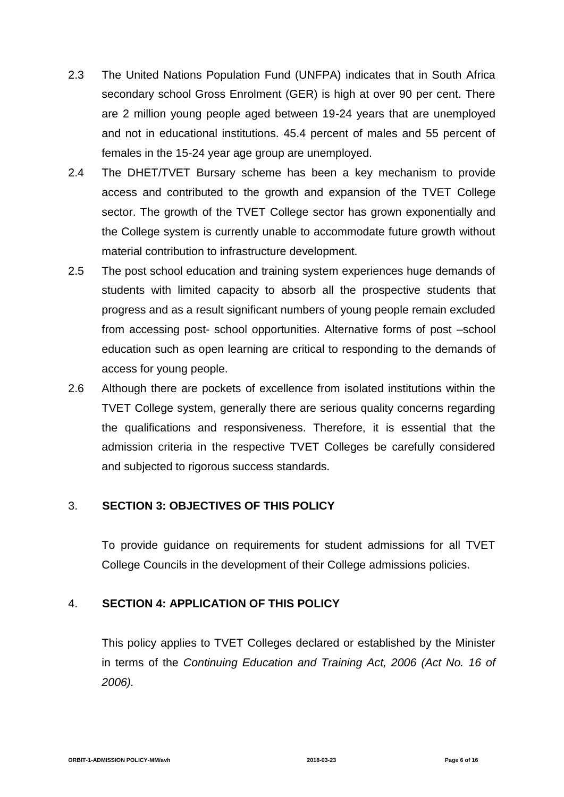- 2.3 The United Nations Population Fund (UNFPA) indicates that in South Africa secondary school Gross Enrolment (GER) is high at over 90 per cent. There are 2 million young people aged between 19-24 years that are unemployed and not in educational institutions. 45.4 percent of males and 55 percent of females in the 15-24 year age group are unemployed.
- 2.4 The DHET/TVET Bursary scheme has been a key mechanism to provide access and contributed to the growth and expansion of the TVET College sector. The growth of the TVET College sector has grown exponentially and the College system is currently unable to accommodate future growth without material contribution to infrastructure development.
- 2.5 The post school education and training system experiences huge demands of students with limited capacity to absorb all the prospective students that progress and as a result significant numbers of young people remain excluded from accessing post- school opportunities. Alternative forms of post –school education such as open learning are critical to responding to the demands of access for young people.
- 2.6 Although there are pockets of excellence from isolated institutions within the TVET College system, generally there are serious quality concerns regarding the qualifications and responsiveness. Therefore, it is essential that the admission criteria in the respective TVET Colleges be carefully considered and subjected to rigorous success standards.

### 3. **SECTION 3: OBJECTIVES OF THIS POLICY**

To provide guidance on requirements for student admissions for all TVET College Councils in the development of their College admissions policies.

### 4. **SECTION 4: APPLICATION OF THIS POLICY**

This policy applies to TVET Colleges declared or established by the Minister in terms of the *Continuing Education and Training Act, 2006 (Act No. 16 of 2006).*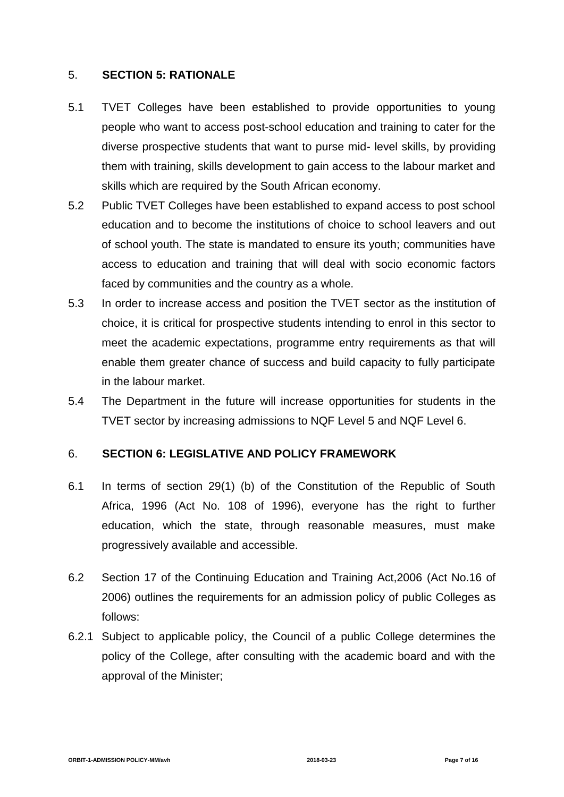### 5. **SECTION 5: RATIONALE**

- 5.1 TVET Colleges have been established to provide opportunities to young people who want to access post-school education and training to cater for the diverse prospective students that want to purse mid- level skills, by providing them with training, skills development to gain access to the labour market and skills which are required by the South African economy.
- 5.2 Public TVET Colleges have been established to expand access to post school education and to become the institutions of choice to school leavers and out of school youth. The state is mandated to ensure its youth; communities have access to education and training that will deal with socio economic factors faced by communities and the country as a whole.
- 5.3 In order to increase access and position the TVET sector as the institution of choice, it is critical for prospective students intending to enrol in this sector to meet the academic expectations, programme entry requirements as that will enable them greater chance of success and build capacity to fully participate in the labour market.
- 5.4 The Department in the future will increase opportunities for students in the TVET sector by increasing admissions to NQF Level 5 and NQF Level 6.

### 6. **SECTION 6: LEGISLATIVE AND POLICY FRAMEWORK**

- 6.1 In terms of section 29(1) (b) of the Constitution of the Republic of South Africa, 1996 (Act No. 108 of 1996), everyone has the right to further education, which the state, through reasonable measures, must make progressively available and accessible.
- 6.2 Section 17 of the Continuing Education and Training Act,2006 (Act No.16 of 2006) outlines the requirements for an admission policy of public Colleges as follows:
- 6.2.1 Subject to applicable policy, the Council of a public College determines the policy of the College, after consulting with the academic board and with the approval of the Minister;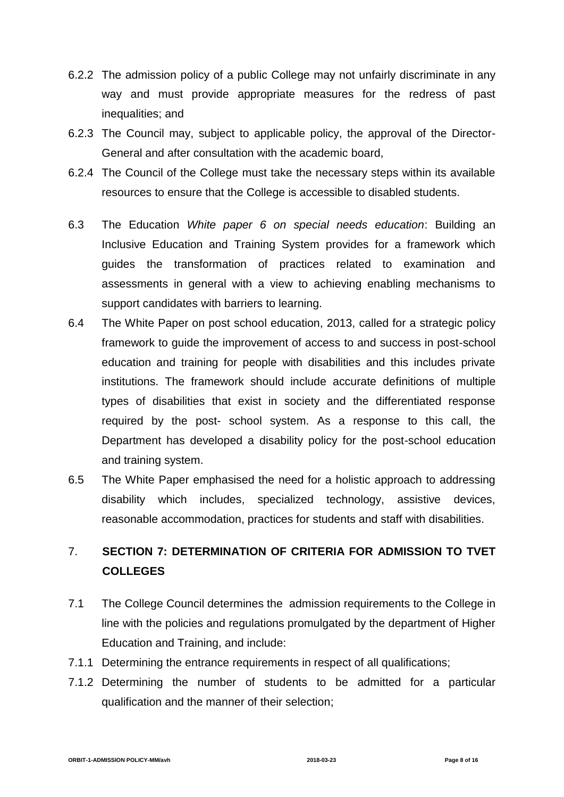- 6.2.2 The admission policy of a public College may not unfairly discriminate in any way and must provide appropriate measures for the redress of past inequalities; and
- 6.2.3 The Council may, subject to applicable policy, the approval of the Director-General and after consultation with the academic board,
- 6.2.4 The Council of the College must take the necessary steps within its available resources to ensure that the College is accessible to disabled students.
- 6.3 The Education *White paper 6 on special needs education*: Building an Inclusive Education and Training System provides for a framework which guides the transformation of practices related to examination and assessments in general with a view to achieving enabling mechanisms to support candidates with barriers to learning.
- 6.4 The White Paper on post school education, 2013, called for a strategic policy framework to guide the improvement of access to and success in post-school education and training for people with disabilities and this includes private institutions. The framework should include accurate definitions of multiple types of disabilities that exist in society and the differentiated response required by the post- school system. As a response to this call, the Department has developed a disability policy for the post-school education and training system.
- 6.5 The White Paper emphasised the need for a holistic approach to addressing disability which includes, specialized technology, assistive devices, reasonable accommodation, practices for students and staff with disabilities.

### 7. **SECTION 7: DETERMINATION OF CRITERIA FOR ADMISSION TO TVET COLLEGES**

- 7.1 The College Council determines the admission requirements to the College in line with the policies and regulations promulgated by the department of Higher Education and Training, and include:
- 7.1.1 Determining the entrance requirements in respect of all qualifications;
- 7.1.2 Determining the number of students to be admitted for a particular qualification and the manner of their selection;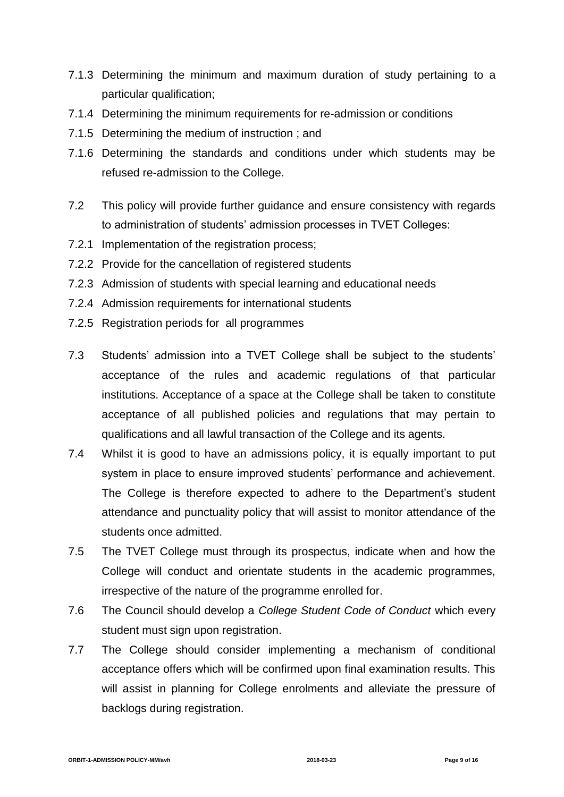- 7.1.3 Determining the minimum and maximum duration of study pertaining to a particular qualification;
- 7.1.4 Determining the minimum requirements for re-admission or conditions
- 7.1.5 Determining the medium of instruction ; and
- 7.1.6 Determining the standards and conditions under which students may be refused re-admission to the College.
- 7.2 This policy will provide further guidance and ensure consistency with regards to administration of students' admission processes in TVET Colleges:
- 7.2.1 Implementation of the registration process;
- 7.2.2 Provide for the cancellation of registered students
- 7.2.3 Admission of students with special learning and educational needs
- 7.2.4 Admission requirements for international students
- 7.2.5 Registration periods for all programmes
- 7.3 Students' admission into a TVET College shall be subject to the students' acceptance of the rules and academic regulations of that particular institutions. Acceptance of a space at the College shall be taken to constitute acceptance of all published policies and regulations that may pertain to qualifications and all lawful transaction of the College and its agents.
- 7.4 Whilst it is good to have an admissions policy, it is equally important to put system in place to ensure improved students' performance and achievement. The College is therefore expected to adhere to the Department's student attendance and punctuality policy that will assist to monitor attendance of the students once admitted.
- 7.5 The TVET College must through its prospectus, indicate when and how the College will conduct and orientate students in the academic programmes, irrespective of the nature of the programme enrolled for.
- 7.6 The Council should develop a *College Student Code of Conduct* which every student must sign upon registration.
- 7.7 The College should consider implementing a mechanism of conditional acceptance offers which will be confirmed upon final examination results. This will assist in planning for College enrolments and alleviate the pressure of backlogs during registration.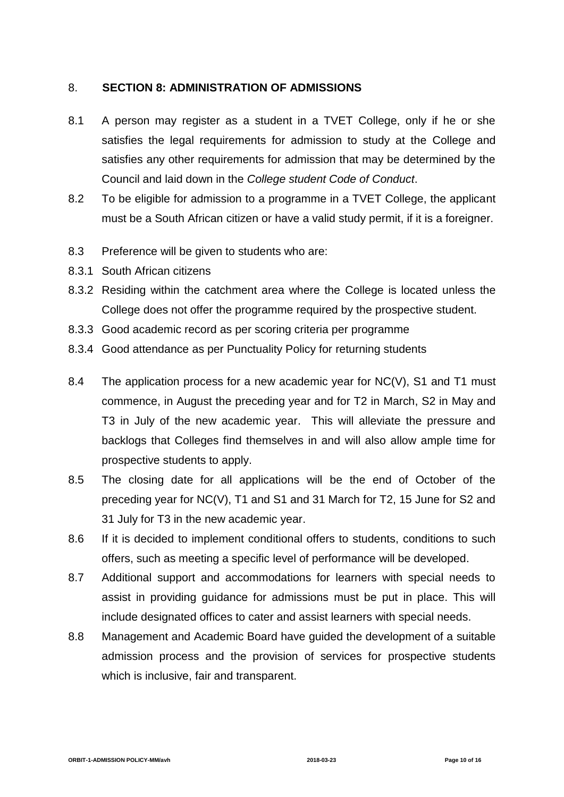#### 8. **SECTION 8: ADMINISTRATION OF ADMISSIONS**

- 8.1 A person may register as a student in a TVET College, only if he or she satisfies the legal requirements for admission to study at the College and satisfies any other requirements for admission that may be determined by the Council and laid down in the *College student Code of Conduct*.
- 8.2 To be eligible for admission to a programme in a TVET College, the applicant must be a South African citizen or have a valid study permit, if it is a foreigner.
- 8.3 Preference will be given to students who are:
- 8.3.1 South African citizens
- 8.3.2 Residing within the catchment area where the College is located unless the College does not offer the programme required by the prospective student.
- 8.3.3 Good academic record as per scoring criteria per programme
- 8.3.4 Good attendance as per Punctuality Policy for returning students
- 8.4 The application process for a new academic year for NC(V), S1 and T1 must commence, in August the preceding year and for T2 in March, S2 in May and T3 in July of the new academic year. This will alleviate the pressure and backlogs that Colleges find themselves in and will also allow ample time for prospective students to apply.
- 8.5 The closing date for all applications will be the end of October of the preceding year for NC(V), T1 and S1 and 31 March for T2, 15 June for S2 and 31 July for T3 in the new academic year.
- 8.6 If it is decided to implement conditional offers to students, conditions to such offers, such as meeting a specific level of performance will be developed.
- 8.7 Additional support and accommodations for learners with special needs to assist in providing guidance for admissions must be put in place. This will include designated offices to cater and assist learners with special needs.
- 8.8 Management and Academic Board have guided the development of a suitable admission process and the provision of services for prospective students which is inclusive, fair and transparent.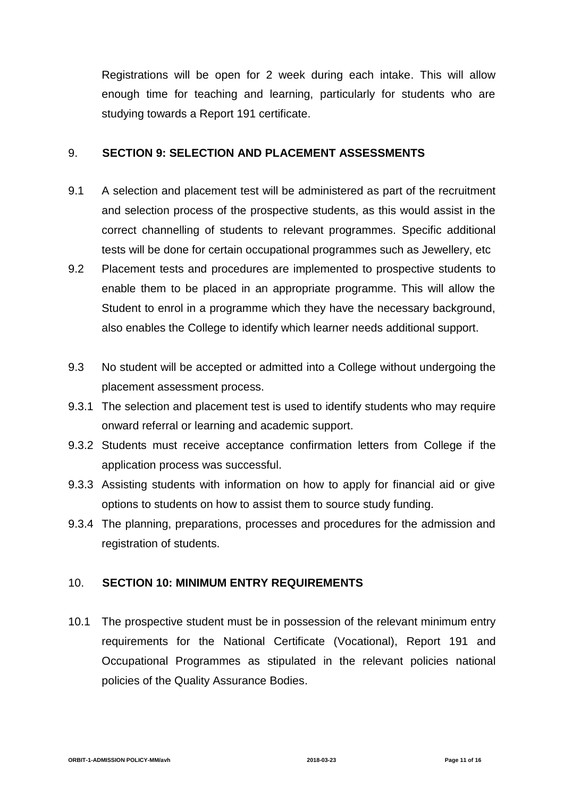Registrations will be open for 2 week during each intake. This will allow enough time for teaching and learning, particularly for students who are studying towards a Report 191 certificate.

#### 9. **SECTION 9: SELECTION AND PLACEMENT ASSESSMENTS**

- 9.1 A selection and placement test will be administered as part of the recruitment and selection process of the prospective students, as this would assist in the correct channelling of students to relevant programmes. Specific additional tests will be done for certain occupational programmes such as Jewellery, etc
- 9.2 Placement tests and procedures are implemented to prospective students to enable them to be placed in an appropriate programme. This will allow the Student to enrol in a programme which they have the necessary background, also enables the College to identify which learner needs additional support.
- 9.3 No student will be accepted or admitted into a College without undergoing the placement assessment process.
- 9.3.1 The selection and placement test is used to identify students who may require onward referral or learning and academic support.
- 9.3.2 Students must receive acceptance confirmation letters from College if the application process was successful.
- 9.3.3 Assisting students with information on how to apply for financial aid or give options to students on how to assist them to source study funding.
- 9.3.4 The planning, preparations, processes and procedures for the admission and registration of students.

### 10. **SECTION 10: MINIMUM ENTRY REQUIREMENTS**

10.1 The prospective student must be in possession of the relevant minimum entry requirements for the National Certificate (Vocational), Report 191 and Occupational Programmes as stipulated in the relevant policies national policies of the Quality Assurance Bodies.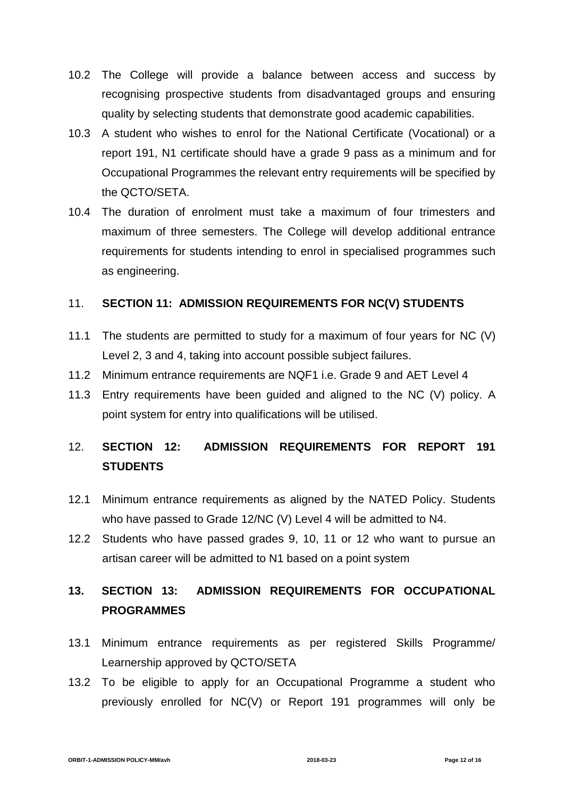- 10.2 The College will provide a balance between access and success by recognising prospective students from disadvantaged groups and ensuring quality by selecting students that demonstrate good academic capabilities.
- 10.3 A student who wishes to enrol for the National Certificate (Vocational) or a report 191, N1 certificate should have a grade 9 pass as a minimum and for Occupational Programmes the relevant entry requirements will be specified by the QCTO/SETA.
- 10.4 The duration of enrolment must take a maximum of four trimesters and maximum of three semesters. The College will develop additional entrance requirements for students intending to enrol in specialised programmes such as engineering.

### 11. **SECTION 11: ADMISSION REQUIREMENTS FOR NC(V) STUDENTS**

- 11.1 The students are permitted to study for a maximum of four years for NC (V) Level 2, 3 and 4, taking into account possible subject failures.
- 11.2 Minimum entrance requirements are NQF1 i.e. Grade 9 and AET Level 4
- 11.3 Entry requirements have been guided and aligned to the NC (V) policy. A point system for entry into qualifications will be utilised.

### 12. **SECTION 12: ADMISSION REQUIREMENTS FOR REPORT 191 STUDENTS**

- 12.1 Minimum entrance requirements as aligned by the NATED Policy. Students who have passed to Grade 12/NC (V) Level 4 will be admitted to N4.
- 12.2 Students who have passed grades 9, 10, 11 or 12 who want to pursue an artisan career will be admitted to N1 based on a point system

### **13. SECTION 13: ADMISSION REQUIREMENTS FOR OCCUPATIONAL PROGRAMMES**

- 13.1 Minimum entrance requirements as per registered Skills Programme/ Learnership approved by QCTO/SETA
- 13.2 To be eligible to apply for an Occupational Programme a student who previously enrolled for NC(V) or Report 191 programmes will only be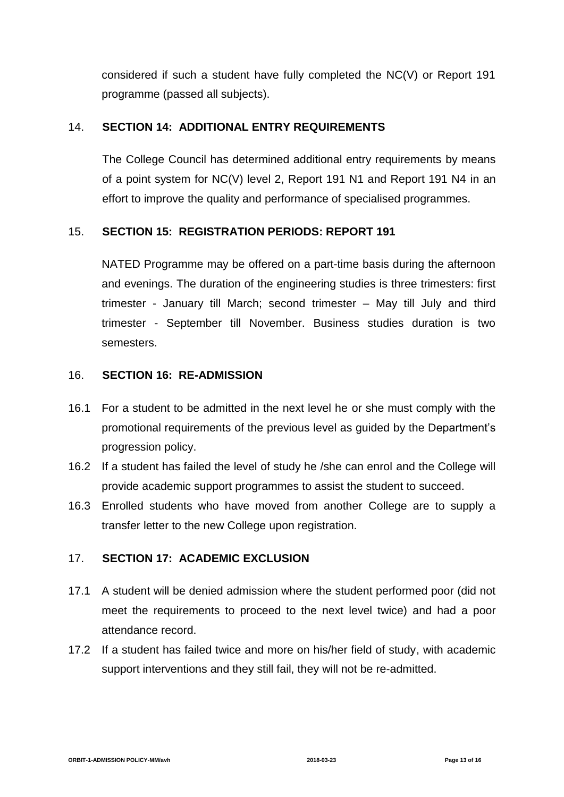considered if such a student have fully completed the NC(V) or Report 191 programme (passed all subjects).

### 14. **SECTION 14: ADDITIONAL ENTRY REQUIREMENTS**

The College Council has determined additional entry requirements by means of a point system for NC(V) level 2, Report 191 N1 and Report 191 N4 in an effort to improve the quality and performance of specialised programmes.

### 15. **SECTION 15: REGISTRATION PERIODS: REPORT 191**

NATED Programme may be offered on a part-time basis during the afternoon and evenings. The duration of the engineering studies is three trimesters: first trimester - January till March; second trimester – May till July and third trimester - September till November. Business studies duration is two semesters.

### 16. **SECTION 16: RE-ADMISSION**

- 16.1 For a student to be admitted in the next level he or she must comply with the promotional requirements of the previous level as guided by the Department's progression policy.
- 16.2 If a student has failed the level of study he /she can enrol and the College will provide academic support programmes to assist the student to succeed.
- 16.3 Enrolled students who have moved from another College are to supply a transfer letter to the new College upon registration.

### 17. **SECTION 17: ACADEMIC EXCLUSION**

- 17.1 A student will be denied admission where the student performed poor (did not meet the requirements to proceed to the next level twice) and had a poor attendance record.
- 17.2 If a student has failed twice and more on his/her field of study, with academic support interventions and they still fail, they will not be re-admitted.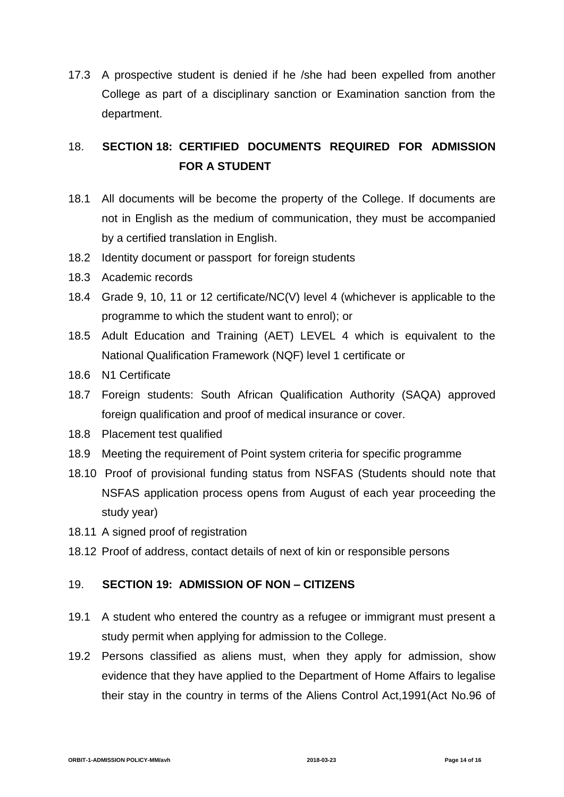17.3 A prospective student is denied if he /she had been expelled from another College as part of a disciplinary sanction or Examination sanction from the department.

### 18. **SECTION 18: CERTIFIED DOCUMENTS REQUIRED FOR ADMISSION FOR A STUDENT**

- 18.1 All documents will be become the property of the College. If documents are not in English as the medium of communication, they must be accompanied by a certified translation in English.
- 18.2 Identity document or passport for foreign students
- 18.3 Academic records
- 18.4 Grade 9, 10, 11 or 12 certificate/NC(V) level 4 (whichever is applicable to the programme to which the student want to enrol); or
- 18.5 Adult Education and Training (AET) LEVEL 4 which is equivalent to the National Qualification Framework (NQF) level 1 certificate or
- 18.6 N1 Certificate
- 18.7 Foreign students: South African Qualification Authority (SAQA) approved foreign qualification and proof of medical insurance or cover.
- 18.8 Placement test qualified
- 18.9 Meeting the requirement of Point system criteria for specific programme
- 18.10 Proof of provisional funding status from NSFAS (Students should note that NSFAS application process opens from August of each year proceeding the study year)
- 18.11 A signed proof of registration
- 18.12 Proof of address, contact details of next of kin or responsible persons

### 19. **SECTION 19: ADMISSION OF NON – CITIZENS**

- 19.1 A student who entered the country as a refugee or immigrant must present a study permit when applying for admission to the College.
- 19.2 Persons classified as aliens must, when they apply for admission, show evidence that they have applied to the Department of Home Affairs to legalise their stay in the country in terms of the Aliens Control Act,1991(Act No.96 of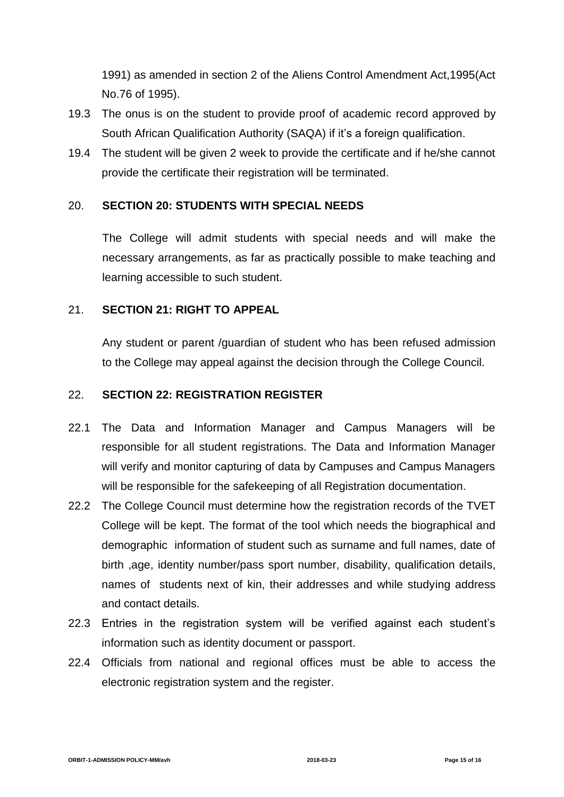1991) as amended in section 2 of the Aliens Control Amendment Act,1995(Act No.76 of 1995).

- 19.3 The onus is on the student to provide proof of academic record approved by South African Qualification Authority (SAQA) if it's a foreign qualification.
- 19.4 The student will be given 2 week to provide the certificate and if he/she cannot provide the certificate their registration will be terminated.

### 20. **SECTION 20: STUDENTS WITH SPECIAL NEEDS**

The College will admit students with special needs and will make the necessary arrangements, as far as practically possible to make teaching and learning accessible to such student.

### 21. **SECTION 21: RIGHT TO APPEAL**

Any student or parent /guardian of student who has been refused admission to the College may appeal against the decision through the College Council.

### 22. **SECTION 22: REGISTRATION REGISTER**

- 22.1 The Data and Information Manager and Campus Managers will be responsible for all student registrations. The Data and Information Manager will verify and monitor capturing of data by Campuses and Campus Managers will be responsible for the safekeeping of all Registration documentation.
- 22.2 The College Council must determine how the registration records of the TVET College will be kept. The format of the tool which needs the biographical and demographic information of student such as surname and full names, date of birth ,age, identity number/pass sport number, disability, qualification details, names of students next of kin, their addresses and while studying address and contact details.
- 22.3 Entries in the registration system will be verified against each student's information such as identity document or passport.
- 22.4 Officials from national and regional offices must be able to access the electronic registration system and the register.